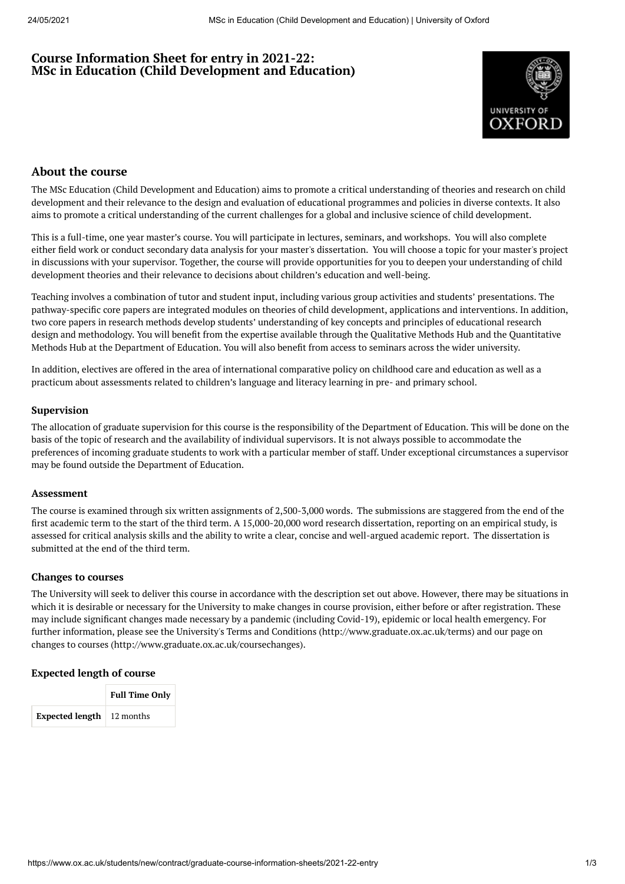# **Course Information Sheet for entry in 2021-22: MSc in Education (Child Development and Education)**



# **About the course**

The MSc Education (Child Development and Education) aims to promote a critical understanding of theories and research on child development and their relevance to the design and evaluation of educational programmes and policies in diverse contexts. It also aims to promote a critical understanding of the current challenges for a global and inclusive science of child development.

This is a full-time, one year master's course. You will participate in lectures, seminars, and workshops. You will also complete either field work or conduct secondary data analysis for your master's dissertation. You will choose a topic for your master's project in discussions with your supervisor. Together, the course will provide opportunities for you to deepen your understanding of child development theories and their relevance to decisions about children's education and well-being.

Teaching involves a combination of tutor and student input, including various group activities and students' presentations. The pathway-specific core papers are integrated modules on theories of child development, applications and interventions. In addition, two core papers in research methods develop students' understanding of key concepts and principles of educational research design and methodology. You will benefit from the expertise available through the Qualitative Methods Hub and the Quantitative Methods Hub at the Department of Education. You will also benefit from access to seminars across the wider university.

In addition, electives are offered in the area of international comparative policy on childhood care and education as well as a practicum about assessments related to children's language and literacy learning in pre- and primary school.

## **Supervision**

The allocation of graduate supervision for this course is the responsibility of the Department of Education. This will be done on the basis of the topic of research and the availability of individual supervisors. It is not always possible to accommodate the preferences of incoming graduate students to work with a particular member of staff. Under exceptional circumstances a supervisor may be found outside the Department of Education.

## **Assessment**

The course is examined through six written assignments of 2,500-3,000 words. The submissions are staggered from the end of the first academic term to the start of the third term. A 15,000-20,000 word research dissertation, reporting on an empirical study, is assessed for critical analysis skills and the ability to write a clear, concise and well-argued academic report. The dissertation is submitted at the end of the third term.

## **Changes to courses**

The University will seek to deliver this course in accordance with the description set out above. However, there may be situations in which it is desirable or necessary for the University to make changes in course provision, either before or after registration. These may include significant changes made necessary by a pandemic (including Covid-19), epidemic or local health emergency. For further information, please see the University's Terms and Conditions (http://www.graduate.ox.ac.uk/terms) and our page on changes to courses (http://www.graduate.ox.ac.uk/coursechanges).

## **Expected length of course**

|                                    | <b>Full Time Only</b> |  |  |
|------------------------------------|-----------------------|--|--|
| <b>Expected length</b>   12 months |                       |  |  |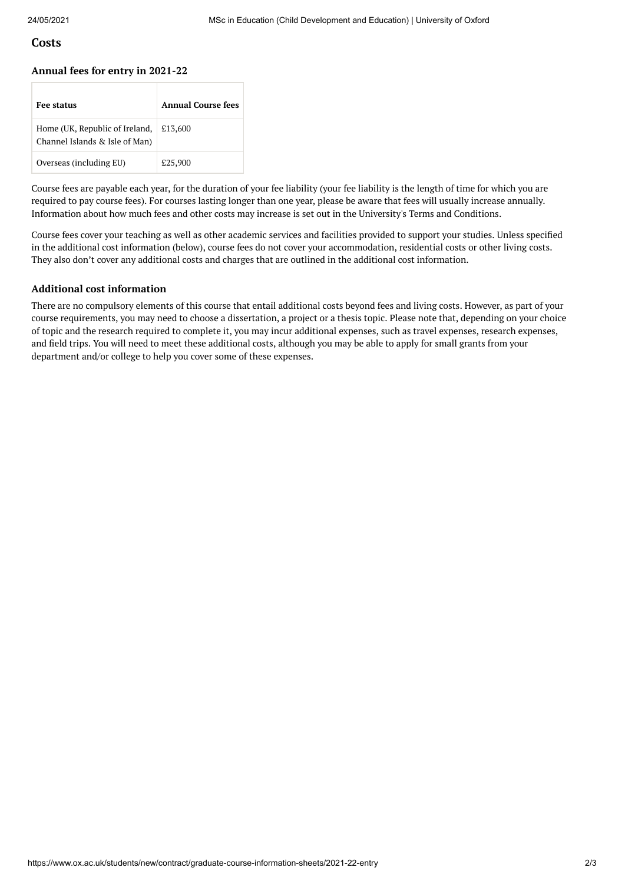## **Costs**

#### **Annual fees for entry in 2021-22**

| Fee status                                                       | <b>Annual Course fees</b> |
|------------------------------------------------------------------|---------------------------|
| Home (UK, Republic of Ireland,<br>Channel Islands & Isle of Man) | £13,600                   |
| Overseas (including EU)                                          | £25,900                   |

Course fees are payable each year, for the duration of your fee liability (your fee liability is the length of time for which you are required to pay course fees). For courses lasting longer than one year, please be aware that fees will usually increase annually. Information about how much fees and other costs may increase is set out in the University's Terms and Conditions.

Course fees cover your teaching as well as other academic services and facilities provided to support your studies. Unless specified in the additional cost information (below), course fees do not cover your accommodation, residential costs or other living costs. They also don't cover any additional costs and charges that are outlined in the additional cost information.

## **Additional cost information**

There are no compulsory elements of this course that entail additional costs beyond fees and living costs. However, as part of your course requirements, you may need to choose a dissertation, a project or a thesis topic. Please note that, depending on your choice of topic and the research required to complete it, you may incur additional expenses, such as travel expenses, research expenses, and field trips. You will need to meet these additional costs, although you may be able to apply for small grants from your department and/or college to help you cover some of these expenses.